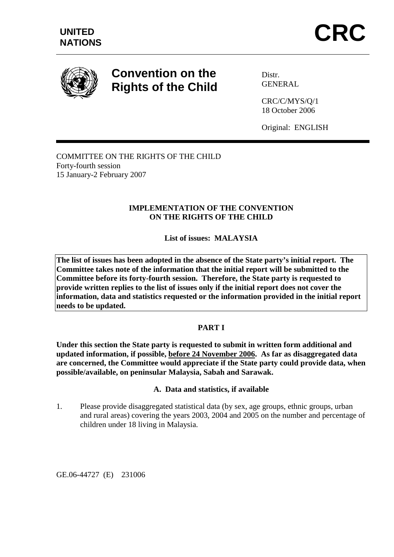

# **Convention on the Rights of the Child**

Distr. **GENERAL** 

CRC/C/MYS/Q/1 18 October 2006

Original: ENGLISH

COMMITTEE ON THE RIGHTS OF THE CHILD Forty-fourth session 15 January-2 February 2007

# **IMPLEMENTATION OF THE CONVENTION ON THE RIGHTS OF THE CHILD**

**List of issues: MALAYSIA** 

**The list of issues has been adopted in the absence of the State party's initial report. The Committee takes note of the information that the initial report will be submitted to the Committee before its forty-fourth session. Therefore, the State party is requested to provide written replies to the list of issues only if the initial report does not cover the information, data and statistics requested or the information provided in the initial report needs to be updated.** 

## **PART I**

**Under this section the State party is requested to submit in written form additional and updated information, if possible, before 24 November 2006. As far as disaggregated data are concerned, the Committee would appreciate if the State party could provide data, when possible/available, on peninsular Malaysia, Sabah and Sarawak.** 

#### **A. Data and statistics, if available**

1. Please provide disaggregated statistical data (by sex, age groups, ethnic groups, urban and rural areas) covering the years 2003, 2004 and 2005 on the number and percentage of children under 18 living in Malaysia.

GE.06-44727 (E) 231006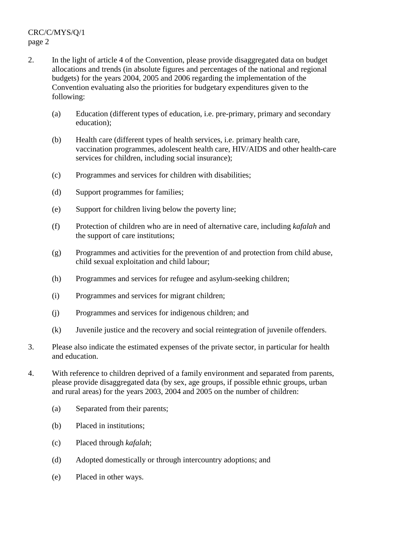- 2. In the light of article 4 of the Convention, please provide disaggregated data on budget allocations and trends (in absolute figures and percentages of the national and regional budgets) for the years 2004, 2005 and 2006 regarding the implementation of the Convention evaluating also the priorities for budgetary expenditures given to the following:
	- (a) Education (different types of education, i.e. pre-primary, primary and secondary education);
	- (b) Health care (different types of health services, i.e. primary health care, vaccination programmes, adolescent health care, HIV/AIDS and other health-care services for children, including social insurance);
	- (c) Programmes and services for children with disabilities;
	- (d) Support programmes for families;
	- (e) Support for children living below the poverty line;
	- (f) Protection of children who are in need of alternative care, including *kafalah* and the support of care institutions;
	- (g) Programmes and activities for the prevention of and protection from child abuse, child sexual exploitation and child labour;
	- (h) Programmes and services for refugee and asylum-seeking children;
	- (i) Programmes and services for migrant children;
	- (j) Programmes and services for indigenous children; and
	- (k) Juvenile justice and the recovery and social reintegration of juvenile offenders.
- 3. Please also indicate the estimated expenses of the private sector, in particular for health and education.
- 4. With reference to children deprived of a family environment and separated from parents, please provide disaggregated data (by sex, age groups, if possible ethnic groups, urban and rural areas) for the years 2003, 2004 and 2005 on the number of children:
	- (a) Separated from their parents;
	- (b) Placed in institutions;
	- (c) Placed through *kafalah*;
	- (d) Adopted domestically or through intercountry adoptions; and
	- (e) Placed in other ways.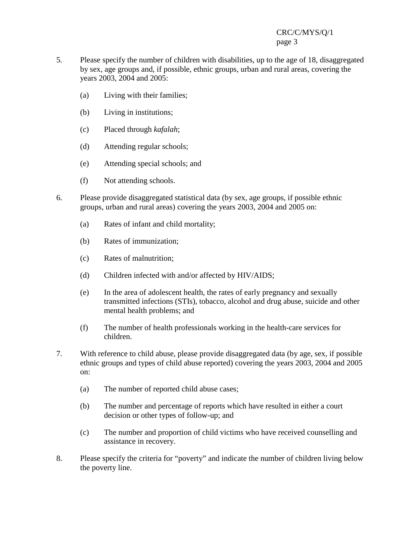# CRC/C/MYS/Q/1 page 3

- 5. Please specify the number of children with disabilities, up to the age of 18, disaggregated by sex, age groups and, if possible, ethnic groups, urban and rural areas, covering the years 2003, 2004 and 2005:
	- (a) Living with their families;
	- (b) Living in institutions;
	- (c) Placed through *kafalah*;
	- (d) Attending regular schools;
	- (e) Attending special schools; and
	- (f) Not attending schools.
- 6. Please provide disaggregated statistical data (by sex, age groups, if possible ethnic groups, urban and rural areas) covering the years 2003, 2004 and 2005 on:
	- (a) Rates of infant and child mortality;
	- (b) Rates of immunization;
	- (c) Rates of malnutrition;
	- (d) Children infected with and/or affected by HIV/AIDS;
	- (e) In the area of adolescent health, the rates of early pregnancy and sexually transmitted infections (STIs), tobacco, alcohol and drug abuse, suicide and other mental health problems; and
	- (f) The number of health professionals working in the health-care services for children.
- 7. With reference to child abuse, please provide disaggregated data (by age, sex, if possible ethnic groups and types of child abuse reported) covering the years 2003, 2004 and 2005 on:
	- (a) The number of reported child abuse cases;
	- (b) The number and percentage of reports which have resulted in either a court decision or other types of follow-up; and
	- (c) The number and proportion of child victims who have received counselling and assistance in recovery.
- 8. Please specify the criteria for "poverty" and indicate the number of children living below the poverty line.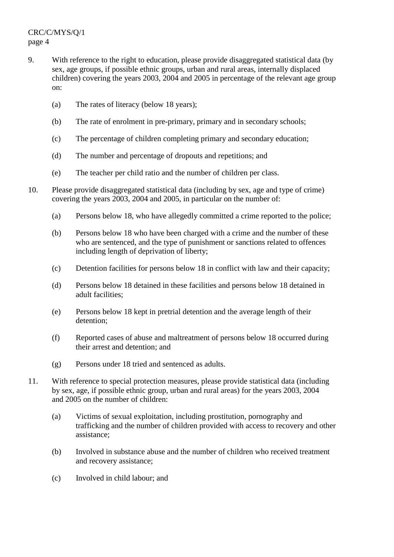- 9. With reference to the right to education, please provide disaggregated statistical data (by sex, age groups, if possible ethnic groups, urban and rural areas, internally displaced children) covering the years 2003, 2004 and 2005 in percentage of the relevant age group on:
	- (a) The rates of literacy (below 18 years);
	- (b) The rate of enrolment in pre-primary, primary and in secondary schools;
	- (c) The percentage of children completing primary and secondary education;
	- (d) The number and percentage of dropouts and repetitions; and
	- (e) The teacher per child ratio and the number of children per class.
- 10. Please provide disaggregated statistical data (including by sex, age and type of crime) covering the years 2003, 2004 and 2005, in particular on the number of:
	- (a) Persons below 18, who have allegedly committed a crime reported to the police;
	- (b) Persons below 18 who have been charged with a crime and the number of these who are sentenced, and the type of punishment or sanctions related to offences including length of deprivation of liberty;
	- (c) Detention facilities for persons below 18 in conflict with law and their capacity;
	- (d) Persons below 18 detained in these facilities and persons below 18 detained in adult facilities;
	- (e) Persons below 18 kept in pretrial detention and the average length of their detention;
	- (f) Reported cases of abuse and maltreatment of persons below 18 occurred during their arrest and detention; and
	- (g) Persons under 18 tried and sentenced as adults.
- 11. With reference to special protection measures, please provide statistical data (including by sex, age, if possible ethnic group, urban and rural areas) for the years 2003, 2004 and 2005 on the number of children:
	- (a) Victims of sexual exploitation, including prostitution, pornography and trafficking and the number of children provided with access to recovery and other assistance;
	- (b) Involved in substance abuse and the number of children who received treatment and recovery assistance;
	- (c) Involved in child labour; and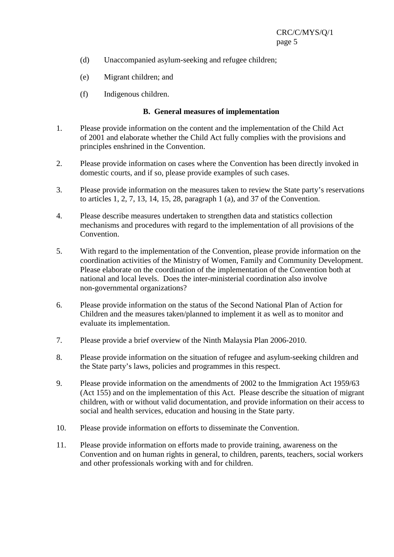- (d) Unaccompanied asylum-seeking and refugee children;
- (e) Migrant children; and
- (f) Indigenous children.

#### **B. General measures of implementation**

- 1. Please provide information on the content and the implementation of the Child Act of 2001 and elaborate whether the Child Act fully complies with the provisions and principles enshrined in the Convention.
- 2. Please provide information on cases where the Convention has been directly invoked in domestic courts, and if so, please provide examples of such cases.
- 3. Please provide information on the measures taken to review the State party's reservations to articles 1, 2, 7, 13, 14, 15, 28, paragraph 1 (a), and 37 of the Convention.
- 4. Please describe measures undertaken to strengthen data and statistics collection mechanisms and procedures with regard to the implementation of all provisions of the Convention.
- 5. With regard to the implementation of the Convention, please provide information on the coordination activities of the Ministry of Women, Family and Community Development. Please elaborate on the coordination of the implementation of the Convention both at national and local levels. Does the inter-ministerial coordination also involve non-governmental organizations?
- 6. Please provide information on the status of the Second National Plan of Action for Children and the measures taken/planned to implement it as well as to monitor and evaluate its implementation.
- 7. Please provide a brief overview of the Ninth Malaysia Plan 2006-2010.
- 8. Please provide information on the situation of refugee and asylum-seeking children and the State party's laws, policies and programmes in this respect.
- 9. Please provide information on the amendments of 2002 to the Immigration Act 1959/63 (Act 155) and on the implementation of this Act. Please describe the situation of migrant children, with or without valid documentation, and provide information on their access to social and health services, education and housing in the State party.
- 10. Please provide information on efforts to disseminate the Convention.
- 11. Please provide information on efforts made to provide training, awareness on the Convention and on human rights in general, to children, parents, teachers, social workers and other professionals working with and for children.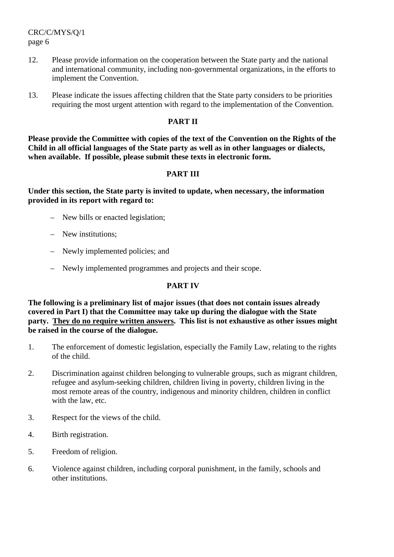CRC/C/MYS/Q/1 page 6

- 12. Please provide information on the cooperation between the State party and the national and international community, including non-governmental organizations, in the efforts to implement the Convention.
- 13. Please indicate the issues affecting children that the State party considers to be priorities requiring the most urgent attention with regard to the implementation of the Convention.

## **PART II**

**Please provide the Committee with copies of the text of the Convention on the Rights of the Child in all official languages of the State party as well as in other languages or dialects, when available. If possible, please submit these texts in electronic form.** 

### **PART III**

**Under this section, the State party is invited to update, when necessary, the information provided in its report with regard to:** 

- New bills or enacted legislation;
- New institutions;
- Newly implemented policies; and
- Newly implemented programmes and projects and their scope.

#### **PART IV**

**The following is a preliminary list of major issues (that does not contain issues already covered in Part I) that the Committee may take up during the dialogue with the State party. They do no require written answers. This list is not exhaustive as other issues might be raised in the course of the dialogue.** 

- 1. The enforcement of domestic legislation, especially the Family Law, relating to the rights of the child.
- 2. Discrimination against children belonging to vulnerable groups, such as migrant children, refugee and asylum-seeking children, children living in poverty, children living in the most remote areas of the country, indigenous and minority children, children in conflict with the law, etc.
- 3. Respect for the views of the child.
- 4. Birth registration.
- 5. Freedom of religion.
- 6. Violence against children, including corporal punishment, in the family, schools and other institutions.